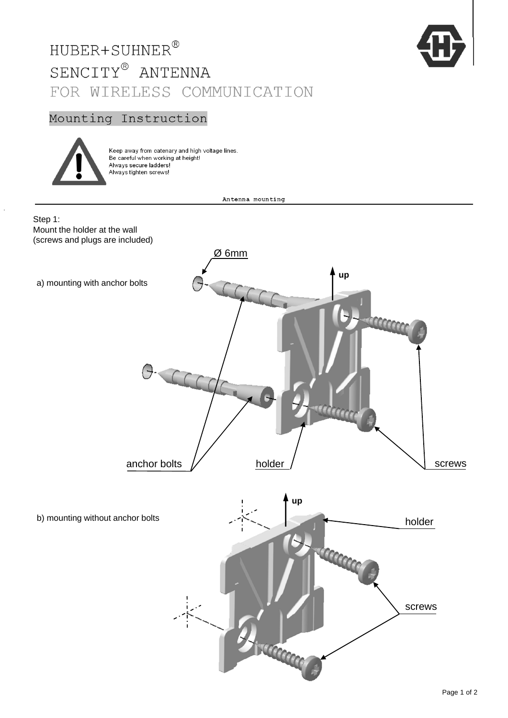## HUBER+SUHNER®  $\texttt{SENCITY}^{\circledR}$  ANTENNA FOR WIRELESS COMMUNICATION



## Mounting Instruction



Keep away from catenary and high voltage lines. Be careful when working at height! Always secure ladders! Always tighten screws!

Antenna mounting